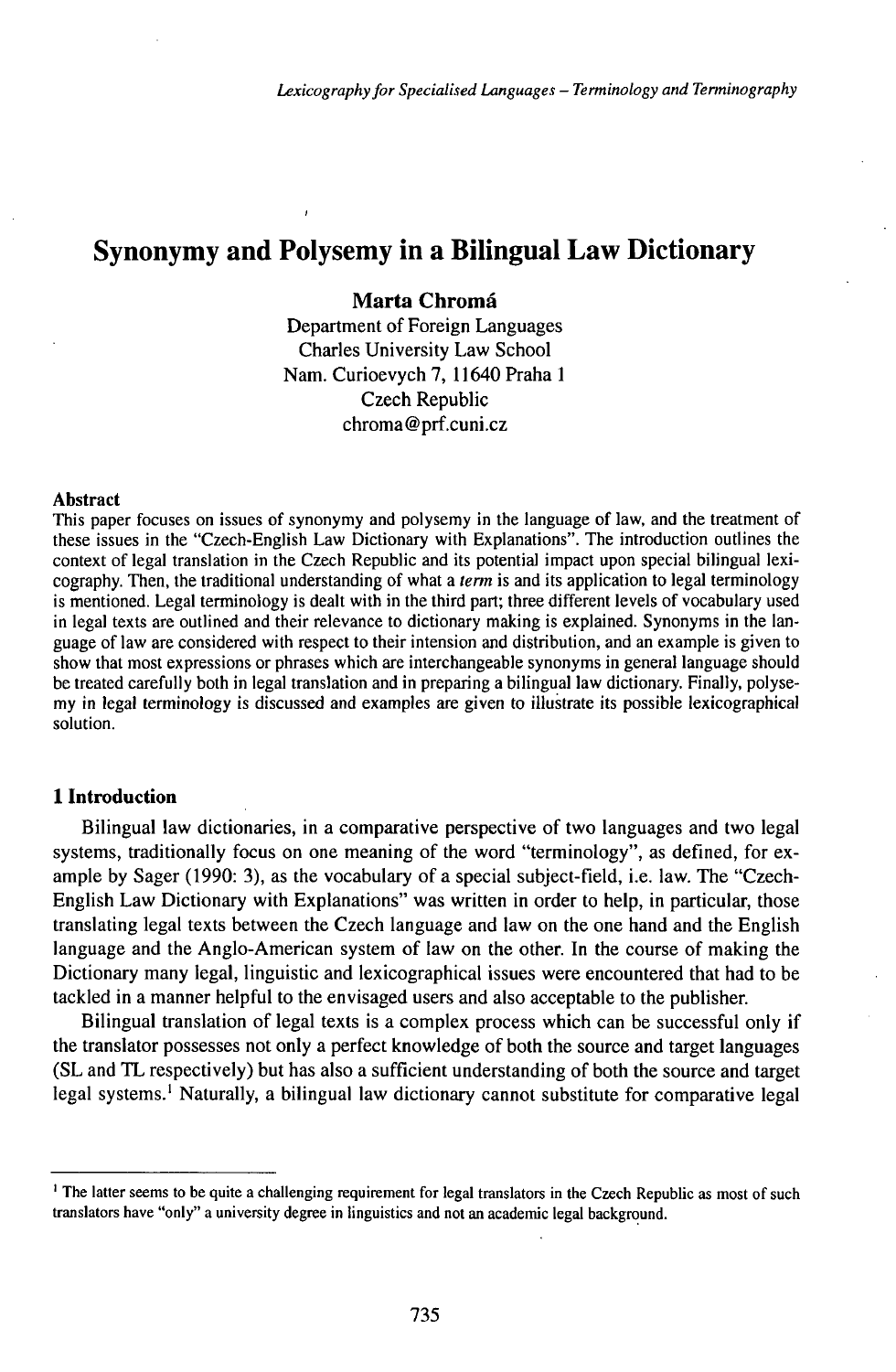# **Synonymy and Polysemy in a Bilingual Law Dictionary**

## Marta Chromá

Department of Foreign Languages Charles University Law School Nam. Curioevych 7, 11640 Praha <sup>1</sup> Czech Republic chroma@prf.cuni.cz

#### Abstract

This paper focuses on issues of synonymy and polysemy in the language of law, and the treatment of these issues in the "Czech-English Law Dictionary with Explanations". The introduction outlines the context of legal translation in the Czech Republic and its potential impact upon special bilingual lexicography. Then, the traditional understanding of what a *term* is and its application to legal terminology is mentioned. Legal terminology is dealt with in the third part; three different levels of vocabulary used in legal texts are outlined and their relevance to dictionary making is explained. Synonyms in the language of law are considered with respect to their intension and distribution, and an example is given to show that most expressions or phrases which are interchangeable synonyms in general language should be treated carefully both in legal translation and in preparing a bilingual law dictionary. Finally, polysemy in legal terminology is discussed and examples are given to illustrate its possible lexicographical solution.

## **1 Introduction**

Bilingual law dictionaries, in a comparative perspective of two languages and two legal systems, traditionally focus on one meaning of the word "terminology", as defined, for example by Sager (1990: 3), as the vocabulary of a special subject-field, i.e. law. The "Czech-English Law Dictionary with Explanations" was written in order to help, in particular, those translating legal texts between the Czech language and law on the one hand and the English language and the Anglo-American system of law on the other. In the course of making the Dictionary many legal, linguistic and lexicographical issues were encountered that had to be tackled in a manner helpful to the envisaged users and also acceptable to the publisher.

Bilingual translation of legal texts is a complex process which can be successful only if the translator possesses not only a perfect knowledge of both the source and target languages (SL and TL respectively) but has also a sufficient understanding of both the source and target legal systems.<sup>1</sup> Naturally, a bilingual law dictionary cannot substitute for comparative legal

<sup>&</sup>lt;sup>1</sup> The latter seems to be quite a challenging requirement for legal translators in the Czech Republic as most of such translators have "only" a university degree in linguistics and not an academic legal background.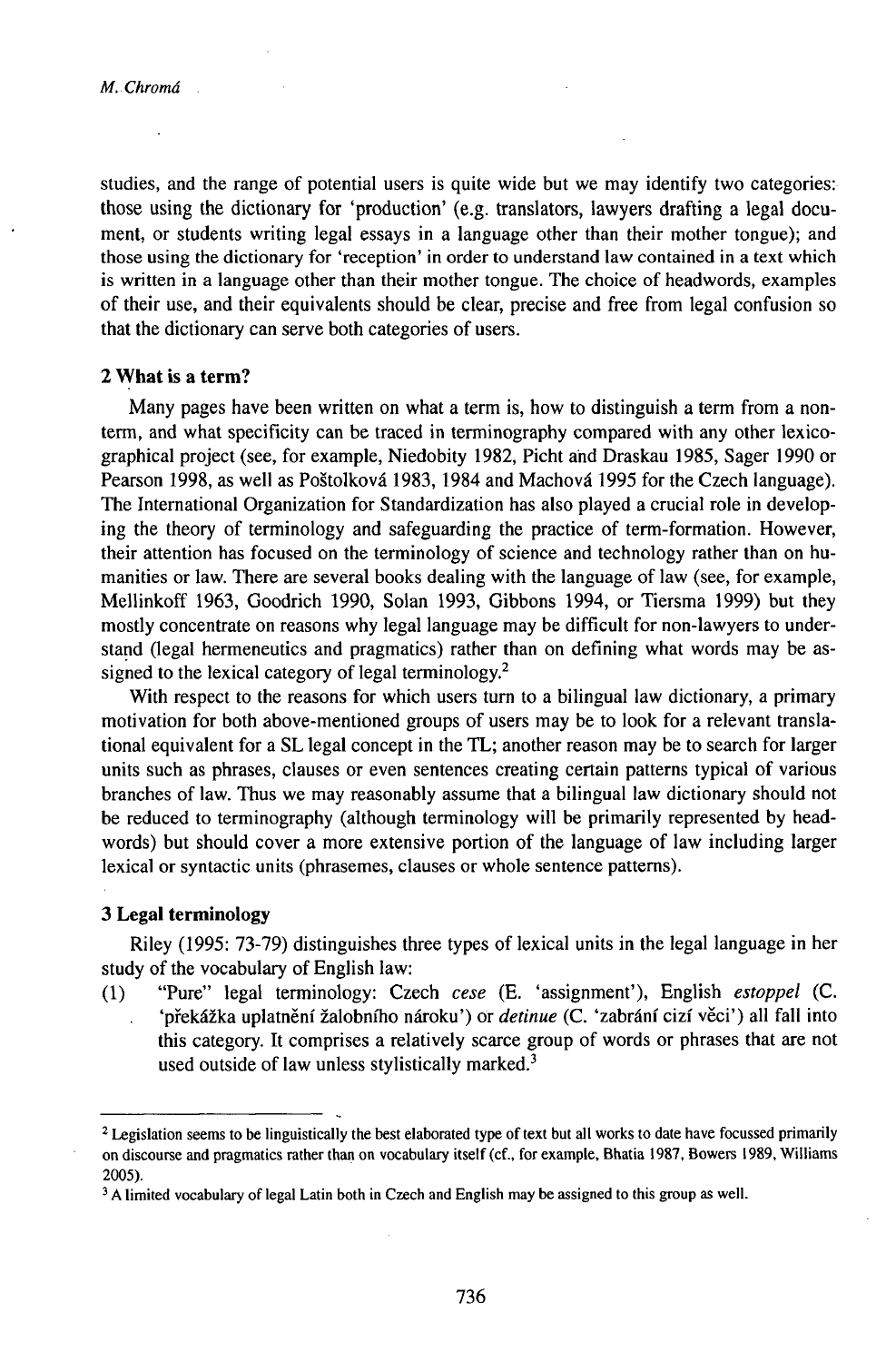studies, and the range of potential users is quite wide but we may identify two categories: those using the dictionary for 'production' (e.g. translators, lawyers drafting a legal document, or students writing legal essays in a language other than their mother tongue); and those using the dictionary for 'reception' in order to understand law contained in a text which is written in a language other than their mother tongue. The choice of headwords, examples of their use, and their equivalents should be clear, precise and free from legal confusion so that the dictionary can serve both categories of users.

## **2 What is a term?**

Many pages have been written on what a term is, how to distinguish a term from a nonterm, and what specificity can be traced in terminography compared with any other lexicographical project (see, for example, Niedobity 1982, Picht ahd Draskau 1985, Sager 1990 or Pearson 1998, as well as Poštolková 1983, 1984 and Machová 1995 for the Czech language). The International Organization for Standardization has also played a crucial role in developing the theory of terminology and safeguarding the practice of term-formation. However, their attention has focused on the terminology of science and technology rather than on humanities or law. There are several books dealing with the language of law (see, for example, Mellinkoff 1963, Goodrich 1990, Solan 1993, Gibbons 1994, or Tiersma 1999) but they mostly concentrate on reasons why legal language may be difficult for non-lawyers to understand (legal hermeneutics and pragmatics) rather than on defining what words may be assigned to the lexical category of legal terminology.<sup>2</sup>

With respect to the reasons for which users turn to a bilingual law dictionary, a primary motivation for both above-mentioned groups of users may be to look for a relevant translational equivalent for a SL legal concept in the TL; another reason may be to search for larger units such as phrases, clauses or even sentences creating certain patterns typical of various branches of law. Thus we may reasonably assume that a bilingual law dictionary should not be reduced to terminography (although terminology will be primarily represented by headwords) but should cover a more extensive portion of the language of law including larger lexical or syntactic units (phrasemes, clauses or whole sentence patterns).

## **3 Legal terminology**

Riley (1995: 73-79) distinguishes three types of lexical units in the legal language in her study of the vocabulary of English law:

- (1) "Pure" legal terminology: Czech *cese* (E. 'assignment'), English *estoppel* (C. 'překážka uplatnění žalobního nároku') or *detinue* (C. 'zabrání cizí věci') all fall into
	- this category. It comprises a relatively scarce group of words or phrases that are not used outside of law unless stylistically marked. $3$

<sup>&</sup>lt;sup>2</sup> Legislation seems to be linguistically the best elaborated type of text but all works to date have focussed primarily on discourse and pragmatics rather than on vocabulary itself (cf., for example, Bhatia 1987, Bowers 1989, Williams 2005).

 $3$  A limited vocabulary of legal Latin both in Czech and English may be assigned to this group as well.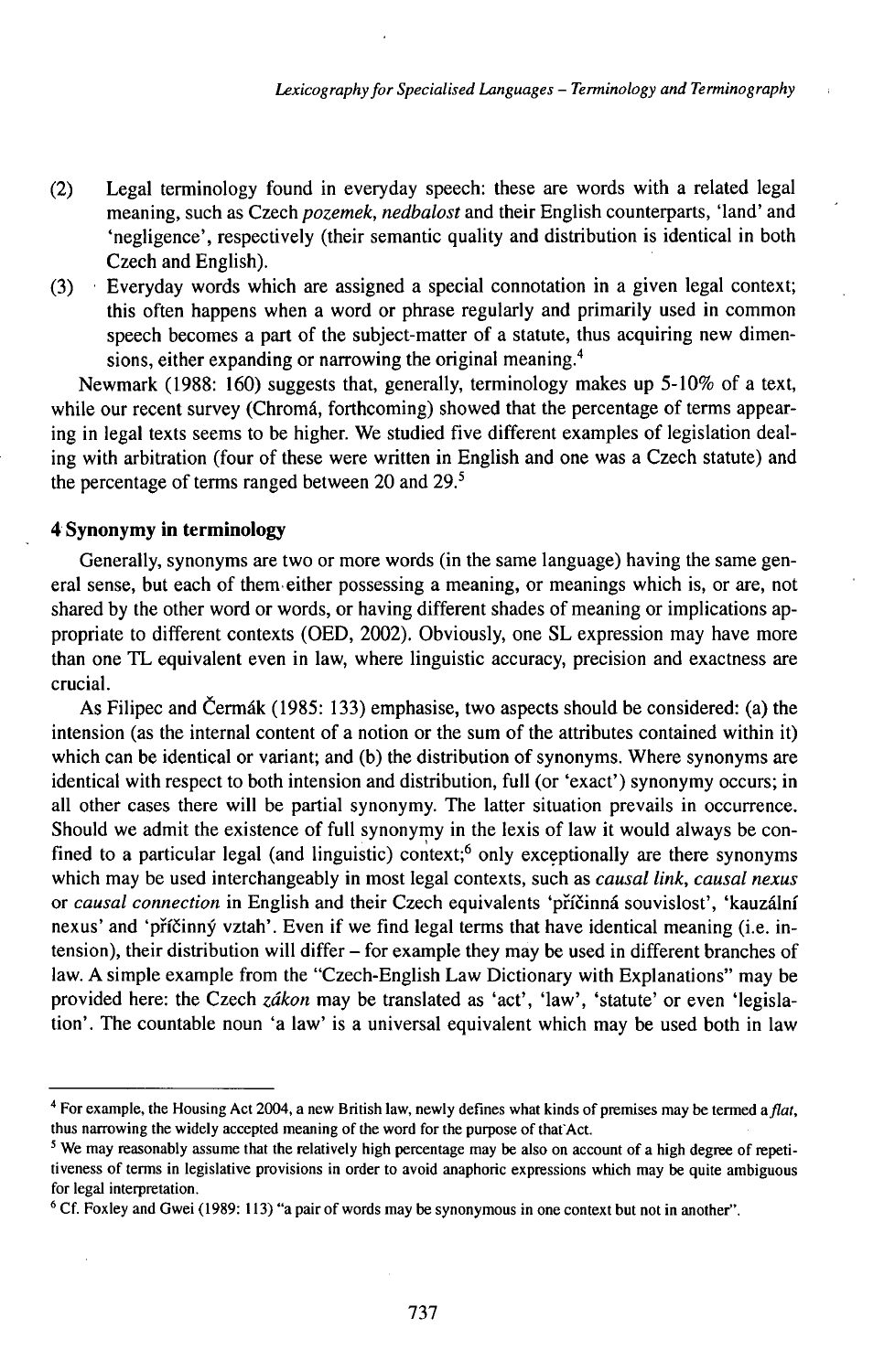- (2) Legal terminology found in everyday speech: these are words with a related legal meaning, such as Czech *pozemek, nedbalost* and their English counterparts, 'land' and 'negligence', respectively (their semantic quality and distribution is identical in both Czech and English).
- (3) Everyday words which are assigned a special connotation in a given legal context; this often happens when a word or phrase regularly and primarily used in common speech becomes a part of the subject-matter of a statute, thus acquiring new dimensions, either expanding or narrowing the original meaning.<sup>4</sup>

Newmark (1988: 160) suggests that, generally, terminology makes up 5-10% of a text, while our recent survey (Chromá, forthcoming) showed that the percentage of terms appearing in legal texts seems to be higher. We studied five different examples of legislation dealing with arbitration (four of these were written in English and one was a Czech statute) and the percentage of terms ranged between 20 and 29.<sup>5</sup>

## **4 Synonymy in terminology**

Generally, synonyms are two or more words (in the same language) having the same general sense, but each of themeither possessing a meaning, or meanings which is, or are, not shared by the other word or words, or having different shades of meaning or implications appropriate to different contexts (OED, 2002). Obviously, one SL expression may have more than one TL equivalent even in law, where linguistic accuracy, precision and exactness are crucial.

As Filipec and Čermák (1985: 133) emphasise, two aspects should be considered: (a) the intension (as the internal content of a notion or the sum of the attributes contained within it) which can be identical or variant; and (b) the distribution of synonyms. Where synonyms are identical with respect to both intension and distribution, full (or 'exact') synonymy occurs; in all other cases there will be partial synonymy. The latter situation prevails in occurrence. Should we admit the existence of full synonymy in the lexis of law it would always be confined to a particular legal (and linguistic) context;<sup>6</sup> only exceptionally are there synonyms which may be used interchangeably in most legal contexts, such as *causal link, causal nexus* or *causal connection* in English and their Czech equivalents 'příčinná souvislost', 'kauzální nexus' and 'příčinný vztah'. Even if we find legal terms that have identical meaning (i.e. intension), their distribution will differ – for example they may be used in different branches of law. A simple example from the "Czech-English Law Dictionary with Explanations" may be provided here: the Czech *zákon* may be translated as 'act', 'law', 'statute' or even 'legislation'. The countable noun 'a law' is a universal equivalent which may be used both in law

<sup>&</sup>lt;sup>4</sup> For example, the Housing Act 2004, a new British law, newly defines what kinds of premises may be termed a *flat*, thus narrowing the widely accepted meaning of the word for the purpose of that Act.

<sup>5</sup> We may reasonably assume that the relatively high percentage may be also on account of a high degree of repetitiveness of terms in legislative provisions in order to avoid anaphoric expressions which may be quite ambiguous for legal interpretation.

<sup>6</sup> Cf. Foxley and Gwei (1989: 113) "a pair of words may be synonymous in one context but not in another".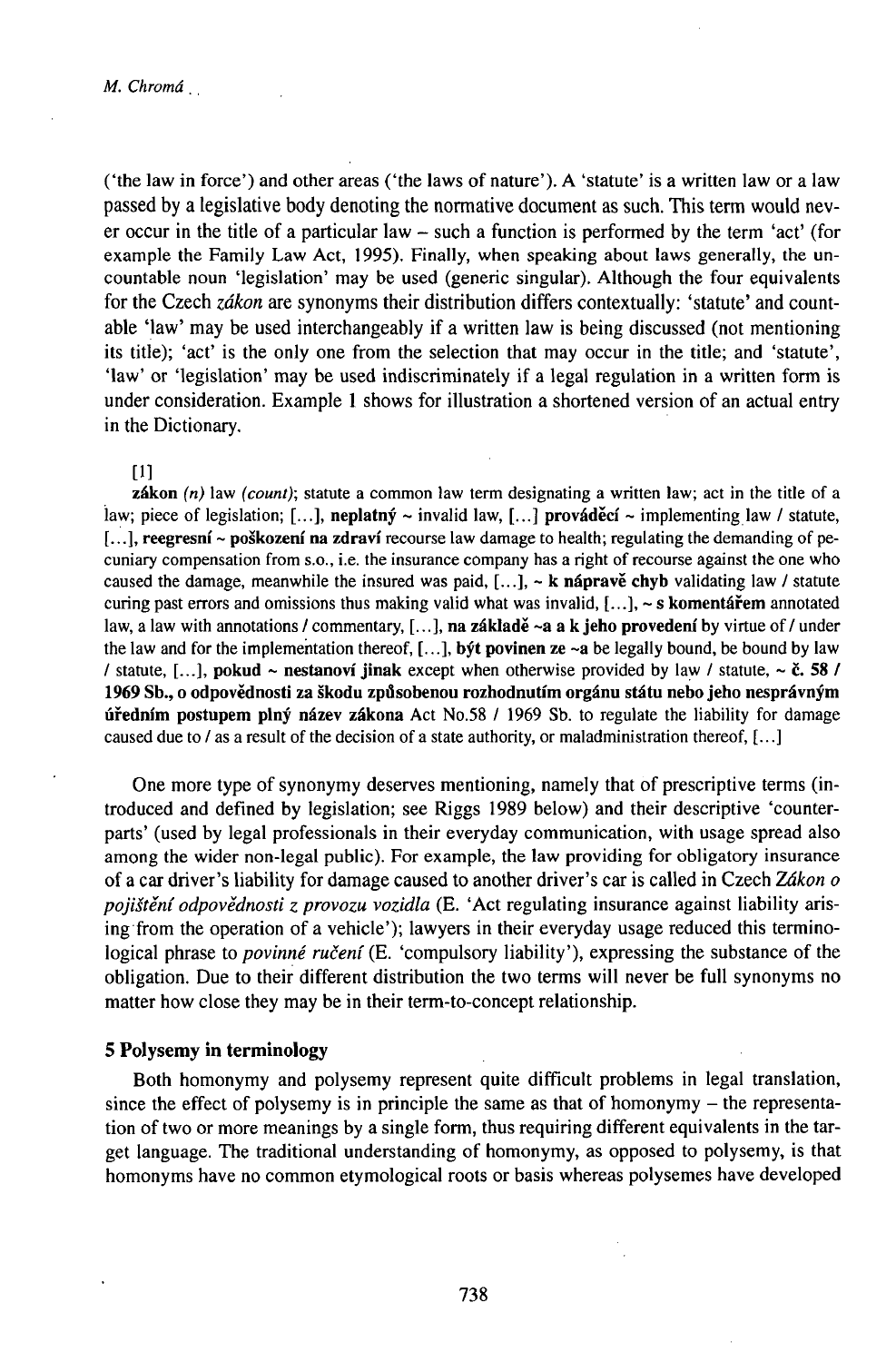('the law in force') and other areas ('the laws ofnature'). A 'statute' is a written law or a law passed by a legislative body denoting the normative document as such. This term would never occur in the title of <sup>a</sup> particular law - such <sup>a</sup> function is performed by the term 'act' (for example the Family Law Act, 1995). Finally, when speaking about laws generally, the uncountable noun 'legislation' may be used (generic singular). Although the four equivalents for the Czech *zákon* are synonyms their distribution differs contextually: 'statute' and countable 'law' may be used interchangeably if a written law is being discussed (not mentioning its title); 'act' is the only one from the selection that may occur in the title; and 'statute', 'law' or 'legislation' may be used indiscriminately if a legal regulation in a written form is under consideration. Example <sup>1</sup> shows for illustration a shortened version of an actual entry in the Dictionary.

#### [1]

zákon *(n)* law *(count);* statute a common law term designating a written law; act in the title of a law; piece of legislation; [...], neplatný ~ invalid law, [...] prováděcí ~ implementing law / statute, [...], reegresni ~ poškození na zdraví recourse law damage to health; regulating the demanding of pecuniary compensation from s.o., i.e. the insurance company has a right of recourse against the one who caused the damage, meanwhile the insured was paid,  $[...]$ ,  $\sim$  **k** nápravě chyb validating law / statute curing past errors and omissions thus making valid what was invalid,  $[\,\ldots\,]$ ,  $\sim$  s komentářem annotated law, a law with annotations / commentary,  $[\,\ldots\,]$ , na základě ~a a k jeho provedení by virtue of / under the law and for the implementation thereof,  $[...]$ , byt povinen ze ~a be legally bound, be bound by law / statute, [...], pokud ~ nestanoví jinak except when otherwise provided by law / statute, ~ č. 58 / 1969 Sb., o odpovědnosti za škodu způsobenou rozhodnutím orgánu státu nebo jeho nesprávným úředním postupem plný název zákona Act No.58 / 1969 Sb. to regulate the liability for damage caused due to / as a result of the decision of a state authority, or maladministration thereof, [...]

One more type of synonymy deserves mentioning, namely that of prescriptive terms (introduced and defined by legislation; see Riggs 1989 below) and their descriptive 'counterparts' (used by legal professionals in their everyday communication, with usage spread also among the wider non-legal public). For example, the law providing for obligatory insurance ofacar driver's liability for damage caused to another driver's car is called in Czech *Zákon o pojištění odpovědnosti z provozu vozidla* (E. 'Act regulating insurance against liability arising from the operation of a vehicle'); lawyers in their everyday usage reduced this terminological phrase to *povinné ručení* (E. 'compulsory liability'), expressing the substance of the obligation. Due to their different distribution the two terms will never be full synonyms no matter how close they may be in their term-to-concept relationship.

## 5 Polysemy in terminology

Both homonymy and polysemy represent quite difficult problems in legal translation, since the effect of polysemy is in principle the same as that of homonymy – the representation of two or more meanings by a single form, thus requiring different equivalents in the target language. The traditional understanding of homonymy, as opposed to polysemy, is that homonyms have no common etymological roots or basis whereas polysemes have developed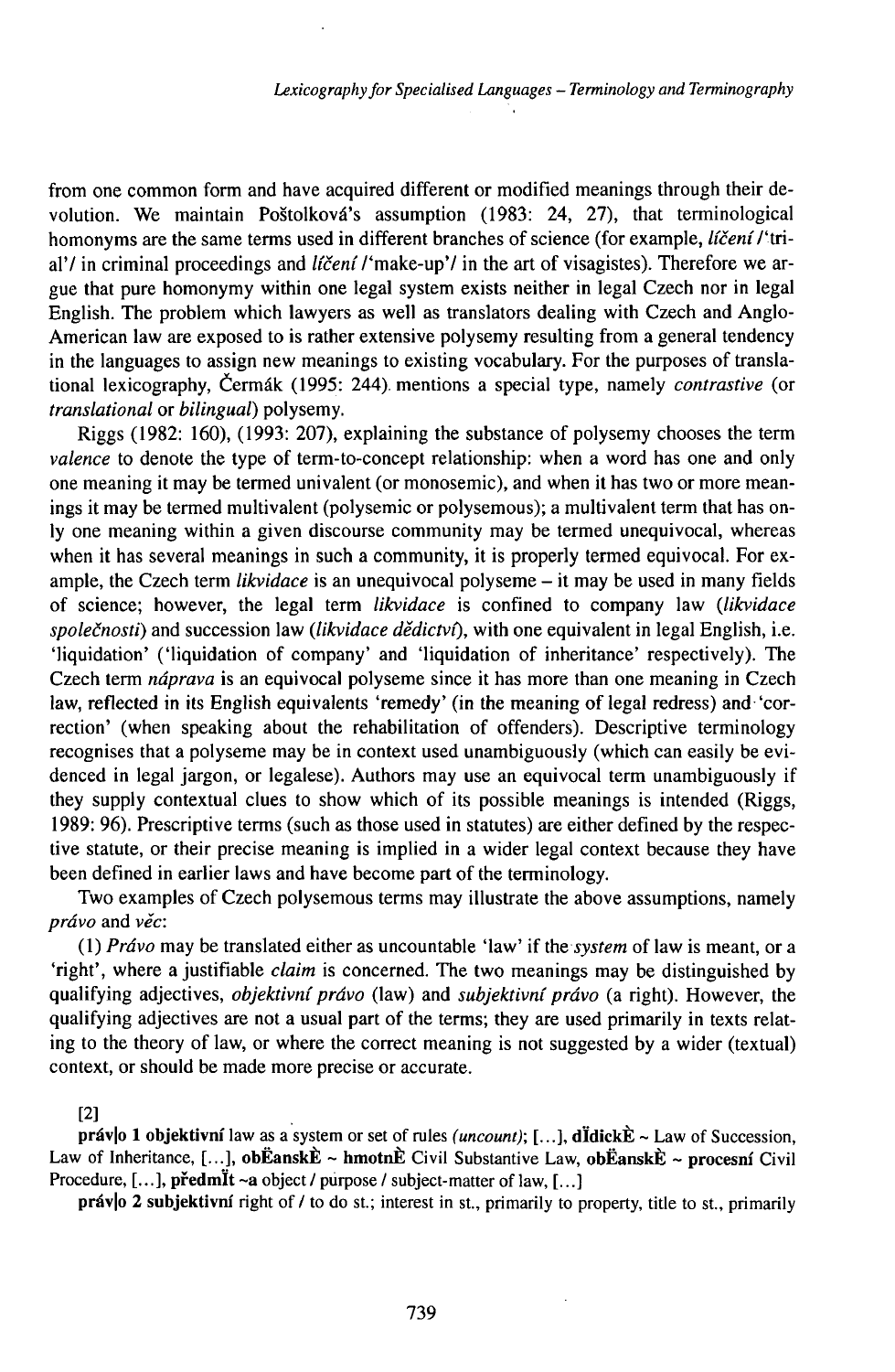from one common form and have acquired different or modified meanings through their devolution. We maintain Poštolková's assumption (1983: 24, 27), that terminological homonyms are the same terms used in different branches of science (for example, *líčení l'*trial'/ in criminal proceedings and *ličeni* /'make-up'/ in the art of visagistes). Therefore we argue that pure homonymy within one legal system exists neither in legal Czech nor in legal English. The problem which lawyers as well as translators dealing with Czech and Anglo-American law are exposed to is rather extensive polysemy resulting from a general tendency in the languages to assign new meanings to existing vocabulary. For the purposes of translational lexicography, Čermák (1995: 244). mentions a special type, namely *contrastive* (or *translational* or *bilingual)* polysemy.

Riggs  $(1982: 160)$ ,  $(1993: 207)$ , explaining the substance of polysemy chooses the term *valence* to denote the type of term-to-concept relationship: when a word has one and only one meaning it may be termed univalent (or monosemic), and when it has two or more meanings it may be termed multivalent (polysemic or polysemous); a multivalent term that has only one meaning within a given discourse community may be termed unequivocal, whereas when it has several meanings in such a community, it is properly termed equivocal. For example, the Czech term *likvidace* is an unequivocal polyseme – it may be used in many fields of science; however, the legal term *likvidace* is confined to company law *(likvidace společnosti)* and succession law *(likvidace dědictví),* with one equivalent in legal English, i.e. 'liquidation' ('liquidation of company' and 'liquidation of inheritance' respectively). The Czech term *náprava* is an equivocal polyseme since it has more than one meaning in Czech law, reflected in its English equivalents 'remedy' (in the meaning of legal redress) and 'correction' (when speaking about the rehabilitation of offenders). Descriptive terminology recognises that a polyseme may be in context used unambiguously (which can easily be evidenced in legal jargon, or legalese). Authors may use an equivocal term unambiguously if they supply contextual clues to show which of its possible meanings is intended (Riggs, 1989: 96). Prescriptive terms (such as those used in statutes) are either defined by the respective statute, or their precise meaning is implied in a wider legal context because they have been defined in earlier laws and have become part of the terminology.

Two examples of Czech polysemous terms may illustrate the above assumptions, namely *právo* and *věc:*

(1) *Právo* may be translated either as uncountable 'law' if the *system* of law is meant, or a 'right', where ajustifiable *claim* is concerned. The two meanings may be distinguished by qualifying adjectives, *objektivníprávo* (law) and *subjektivníprávo* (a right). However, the qualifying adjectives are not a usual part of the terms; they are used primarily in texts relating to the theory of law, or where the correct meaning is not suggested by a wider (textual) context, or should be made more precise or accurate.

#### [2]

práv|o 1 objektivní law as a system or set of rules *(uncount)*; [...], dÏdickÈ ~ Law of Succession, Law of Inheritance, [...], obËanskÈ ~ hmotnÈ Civil Substantive Law, obËanskÈ ~ procesní Civil Procedure, [...], předmÏt ~a object / purpose / subject-matter of law, [...]

práv|o 2 subjektivní right of / to do st.; interest in st., primarily to property, title to st., primarily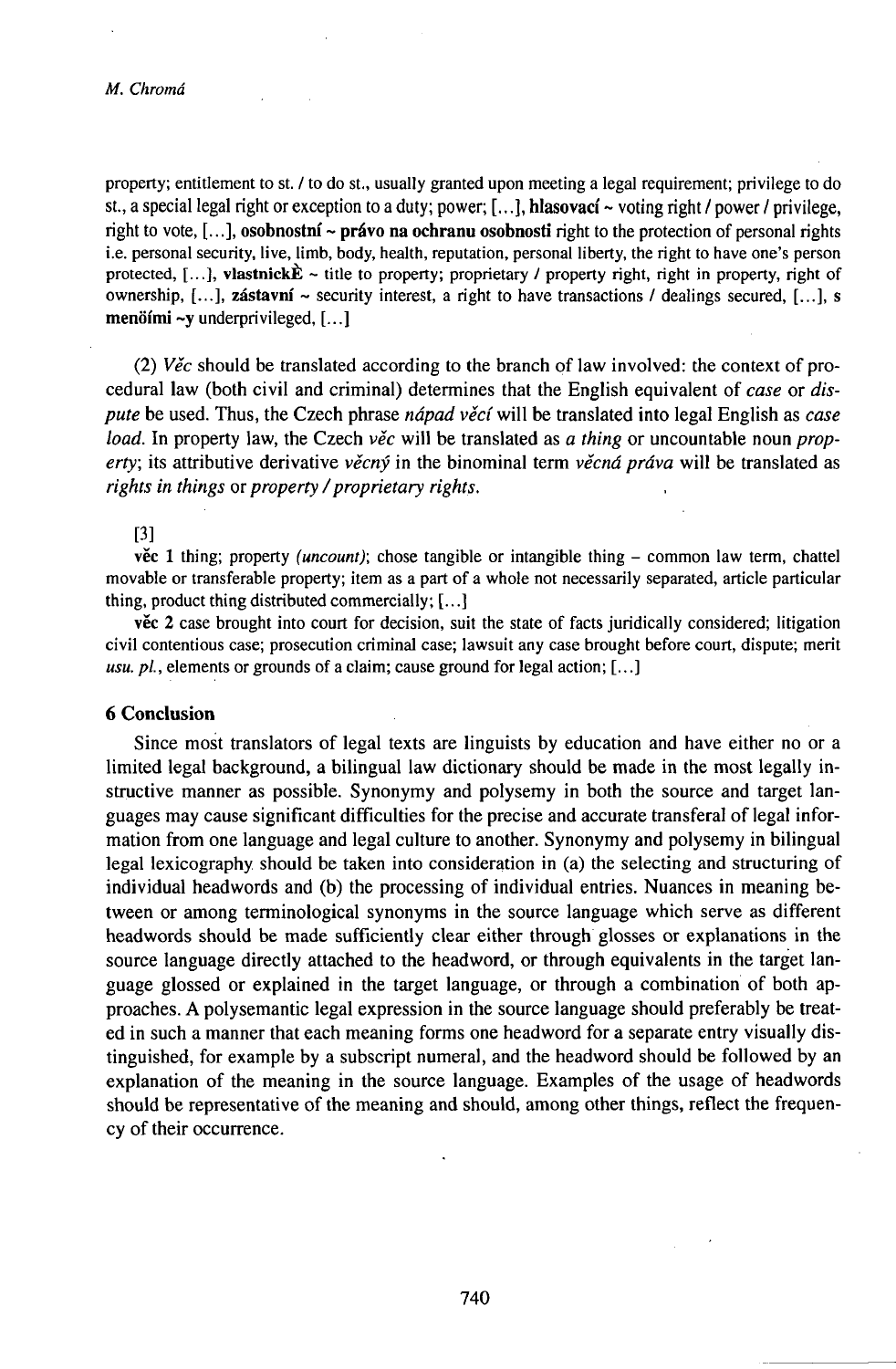#### *M. Chromá*

property; entitlement to st. / to do st., usually granted upon meeting a legal requirement; privilege to do st., a special legal right or exception to a duty; power; [...], **hlasovací** ~ voting right / power / privilege, right to vote, [...], **osobnostní** ~ **právo na ochranu osobnosti** right to the protection of personal rights i.e. personal security, live, limb, body, health, reputation, personal liberty, the right to have one's person protected, [...], vlastnick $\hat{\mathbf{E}}$  ~ title to property; proprietary / property right, right in property, right of ownership, [...], **zástavní** ~ security interest, a right to have transactions / dealings secured, [...], s **menöimi** ~y underprivileged, [...]

(2) *Věc* should be translated according to the branch of law involved: the context of procedural law (both civil and criminal) determines that the English equivalent of *case* or *dispute* be used. Thus, the Czech phrase *nápad věcí* will be translated into legal English as *case load.* In property law, the Czech *věc* will be translated as *a thing* or uncountable noun *property;* its attributive derivative *věcný* in the binominal term *věcná práva* will be translated as *rights in things* or *property /proprietary rights.*

## [3]

věc <sup>1</sup> thing; property *(uncount);* chose tangible or intangible thing - common law term, chattel movable or transferable property; item as a part of a whole not necessarily separated, article particular thing, product thing distributed commercially; [...]

věc 2 case brought into court for decision, suit the state of facts juridically considered; litigation civil contentious case; prosecution criminal case; lawsuit any case brought before court, dispute; merit *usu. pi*, elements or grounds of a claim; cause ground for legal action; [...]

## **6 Conclusion**

Since most translators of legal texts are linguists by education and have either no or a limited legal background, a bilingual law dictionary should be made in the most legally instructive manner as possible. Synonymy and polysemy in both the source and target languages may cause significant difficulties for the precise and accurate transferal of legal information from one language and legal culture to another. Synonymy and polysemy in bilingual legal lexicography should be taken into consideration in (a) the selecting and structuring of individual headwords and (b) the processing of individual entries. Nuances in meaning between or among terminological synonyms in the source language which serve as different headwords should be made sufficiently clear either through glosses or explanations in the source language directly attached to the headword, or through equivalents in the target language glossed or explained in the target language, or through a combination of both approaches. A polysemantic legal expression in the source language should preferably be treated in such a manner that each meaning forms one headword for a separate entry visually distinguished, for example by a subscript numeral, and the headword should be followed by an explanation of the meaning in the source language. Examples of the usage of headwords should be representative of the meaning and should, among other things, reflect the frequency of their occurrence.